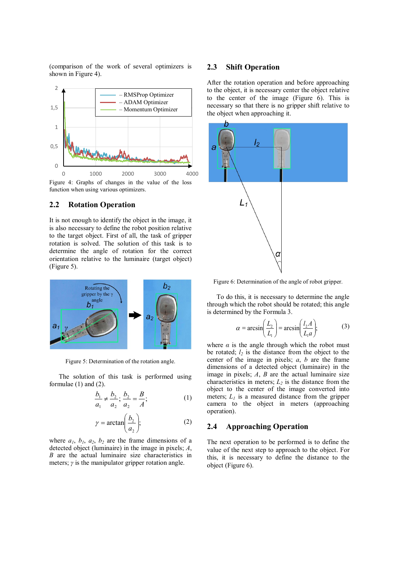(comparison of the work of several optimizers is shown in Figure 4).



Figure 4: Graphs of changes in the value of the loss function when using various optimizers.

### **2.2 Rotation Operation**

It is not enough to identify the object in the image, it is also necessary to define the robot position relative to the target object. First of all, the task of gripper rotation is solved. The solution of this task is to determine the angle of rotation for the correct orientation relative to the luminaire (target object) (Figure 5).



Figure 5: Determination of the rotation angle.

The solution of this task is performed using formulae (1) and (2).

$$
\frac{b_1}{a_1} \neq \frac{b_2}{a_2}; \frac{b_2}{a_2} = \frac{B}{A};
$$
 (1)

$$
\gamma = \arctan\left(\frac{b_2}{a_2}\right);\tag{2}
$$

where  $a_1$ ,  $b_1$ ,  $a_2$ ,  $b_2$  are the frame dimensions of a detected object (luminaire) in the image in pixels; *А*, *B* are the actual luminaire size characteristics in meters; *γ* is the manipulator gripper rotation angle.

#### **2.3 Shift Operation**

After the rotation operation and before approaching to the object, it is necessary center the object relative to the center of the image (Figure 6). This is necessary so that there is no gripper shift relative to the object when approaching it.



Figure 6: Determination of the angle of robot gripper.

To do this, it is necessary to determine the angle through which the robot should be rotated; this angle is determined by the Formula 3.

$$
\alpha = \arcsin\left(\frac{L_2}{L_1}\right) = \arcsin\left(\frac{l_2 A}{L_1 a}\right); \tag{3}
$$

where  $\alpha$  is the angle through which the robot must be rotated;  $l_2$  is the distance from the object to the center of the image in pixels; *a*, *b* are the frame dimensions of a detected object (luminaire) in the image in pixels; *А*, *B* are the actual luminaire size characteristics in meters;  $L_2$  is the distance from the object to the center of the image converted into meters;  $L_l$  is a measured distance from the gripper camera to the object in meters (approaching operation).

### **2.4 Approaching Operation**

The next operation to be performed is to define the value of the next step to approach to the object. For this, it is necessary to define the distance to the object (Figure 6).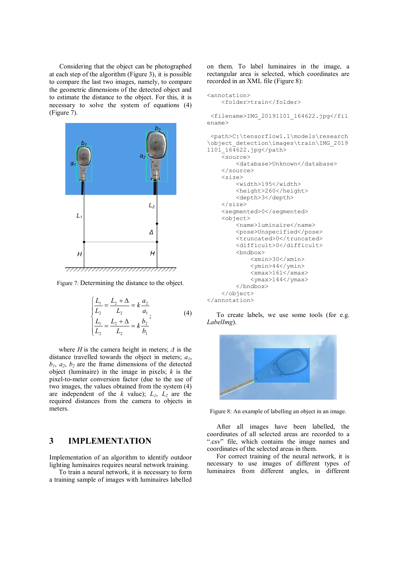Considering that the object can be photographed at each step of the algorithm (Figure 3), it is possible to compare the last two images, namely, to compare the geometric dimensions of the detected object and to estimate the distance to the object. For this, it is necessary to solve the system of equations (4) (Figure 7).



Figure 7: Determining the distance to the object.

$$
\begin{cases}\n\frac{L_1}{L_2} = \frac{L_2 + \Delta}{L_2} = k \frac{a_2}{a_1} \\
\frac{L_1}{L_2} = \frac{L_2 + \Delta}{L_2} = k \frac{b_2}{b_1}\n\end{cases}
$$
\n(4)

where *H* is the camera height in meters;  $\Delta$  is the distance travelled towards the object in meters;  $a_1$ ,  $b_1$ ,  $a_2$ ,  $b_2$  are the frame dimensions of the detected object (luminaire) in the image in pixels; *k* is the pixel-to-meter conversion factor (due to the use of two images, the values obtained from the system (4) are independent of the  $k$  value);  $L_1$ ,  $L_2$  are the required distances from the camera to objects in meters.

# **3 IMPLEMENTATION**

Implementation of an algorithm to identify outdoor lighting luminaires requires neural network training.

To train a neural network, it is necessary to form a training sample of images with luminaires labelled

on them. To label luminaires in the image, a rectangular area is selected, which coordinates are recorded in an XML file (Figure 8):

```
<annotation> 
     <folder>train</folder>
```
 <filename>IMG\_20191101\_164622.jpg</fil ename>

```
 <path>C:\tensorflow1.1\models\research
\object_detection\images\train\IMG_2019
1101_164622.jpg</path> 
     <source> 
          <database>Unknown</database> 
     </source> 
    \langlesize\rangle <width>195</width> 
          <height>260</height> 
          <depth>3</depth> 
     </size> 
     <segmented>0</segmented> 
     <object> 
          <name>luminaire</name> 
          <pose>Unspecified</pose> 
          <truncated>0</truncated> 
          <difficult>0</difficult> 
          <bndbox> 
              <xmin>30</xmin> 
             <ymin>44</ymin>
             <xmax>161</xmax>
             <ymax>144</ymax>
         </bndbox> 
     </object> 
</annotation>
```
To create labels, we use some tools (for e.g. *LabelImg*).



Figure 8: An example of labelling an object in an image.

After all images have been labelled, the coordinates of all selected areas are recorded to a ".csv" file, which contains the image names and coordinates of the selected areas in them.

For correct training of the neural network, it is necessary to use images of different types of luminaires from different angles, in different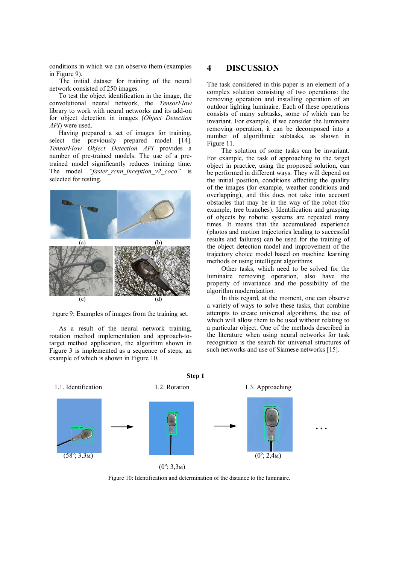conditions in which we can observe them (examples in Figure 9).

The initial dataset for training of the neural network consisted of 250 images.

To test the object identification in the image, the convolutional neural network, the *TensorFlow* library to work with neural networks and its add-on for object detection in images (*Object Detection API*) were used.

Having prepared a set of images for training, select the previously prepared model [14]. *TensorFlow Object Detection API* provides a number of pre-trained models. The use of a pretrained model significantly reduces training time. The model *"faster rcnn inception v2 coco"* is selected for testing.



Figure 9: Examples of images from the training set.

As a result of the neural network training, rotation method implementation and approach-totarget method application, the algorithm shown in Figure 3 is implemented as a sequence of steps, an example of which is shown in Figure 10.

# **4 DISCUSSION**

The task considered in this paper is an element of a complex solution consisting of two operations: the removing operation and installing operation of an outdoor lighting luminaire. Each of these operations consists of many subtasks, some of which can be invariant. For example, if we consider the luminaire removing operation, it can be decomposed into a number of algorithmic subtasks, as shown in Figure 11.

The solution of some tasks can be invariant. For example, the task of approaching to the target object in practice, using the proposed solution, can be performed in different ways. They will depend on the initial position, conditions affecting the quality of the images (for example, weather conditions and overlapping), and this does not take into account obstacles that may be in the way of the robot (for example, tree branches). Identification and grasping of objects by robotic systems are repeated many times. It means that the accumulated experience (photos and motion trajectories leading to successful results and failures) can be used for the training of the object detection model and improvement of the trajectory choice model based on machine learning methods or using intelligent algorithms.

Other tasks, which need to be solved for the luminaire removing operation, also have the property of invariance and the possibility of the algorithm modernization.

In this regard, at the moment, one can observe a variety of ways to solve these tasks, that combine attempts to create universal algorithms, the use of which will allow them to be used without relating to a particular object. One of the methods described in the literature when using neural networks for task recognition is the search for universal structures of such networks and use of Siamese networks [15].



**Step 1**

 $(0^{\circ}; 3, 3)$ м)

Figure 10: Identification and determination of the distance to the luminaire.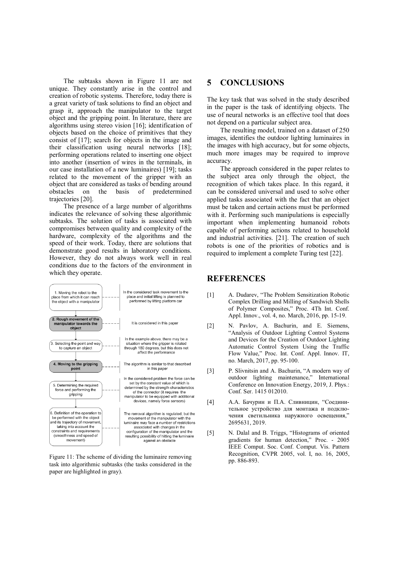The subtasks shown in Figure 11 are not unique. They constantly arise in the control and creation of robotic systems. Therefore, today there is a great variety of task solutions to find an object and grasp it, approach the manipulator to the target object and the gripping point. In literature, there are algorithms using stereo vision [16]; identification of objects based on the choice of primitives that they consist of [17]; search for objects in the image and their classification using neural networks [18]; performing operations related to inserting one object into another (insertion of wires in the terminals, in our case installation of a new luminaires) [19]; tasks related to the movement of the gripper with an object that are considered as tasks of bending around obstacles on the basis of predetermined trajectories [20].

The presence of a large number of algorithms indicates the relevance of solving these algorithmic subtasks. The solution of tasks is associated with compromises between quality and complexity of the hardware, complexity of the algorithms and the speed of their work. Today, there are solutions that demonstrate good results in laboratory conditions. However, they do not always work well in real conditions due to the factors of the environment in which they operate.



Figure 11: The scheme of dividing the luminaire removing task into algorithmic subtasks (the tasks considered in the paper are highlighted in gray).

# **5 CONCLUSIONS**

The key task that was solved in the study described in the paper is the task of identifying objects. The use of neural networks is an effective tool that does not depend on a particular subject area.

The resulting model, trained on a dataset of 250 images, identifies the outdoor lighting luminaires in the images with high accuracy, but for some objects, much more images may be required to improve accuracy.

The approach considered in the paper relates to the subject area only through the object, the recognition of which takes place. In this regard, it can be considered universal and used to solve other applied tasks associated with the fact that an object must be taken and certain actions must be performed with it. Performing such manipulations is especially important when implementing humanoid robots capable of performing actions related to household and industrial activities. [21]. The creation of such robots is one of the priorities of robotics and is required to implement a complete Turing test [22].

### **REFERENCES**

- [1] A. Dudarev, "The Problem Sensitization Robotic Complex Drilling and Milling of Sandwich Shells of Polymer Composites," Proc. 4Th Int. Conf. Appl. Innov., vol. 4, no. March, 2016, pp. 15-19.
- [2] N. Pavlov, A. Bachurin, and E. Siemens, "Analysis of Outdoor Lighting Control Systems and Devices for the Creation of Outdoor Lighting Automatic Control System Using the Traffic Flow Value," Proc. Int. Conf. Appl. Innov. IT, no. March, 2017, pp. 95-100.
- [3] P. Slivnitsin and A. Bachurin, "A modern way of outdoor lighting maintenance," International Conference on Innovation Energy, 2019, J. Phys.: Conf. Ser. 1415 012010.
- [4] А.А. Бачурин и П.А. Сливницин, "Соединительное устройство для монтажа и подключения светильника наружного освещения," 2695631, 2019.
- [5] N. Dalal and B. Triggs, "Histograms of oriented gradients for human detection," Proc. - 2005 IEEE Comput. Soc. Conf. Comput. Vis. Pattern Recognition, CVPR 2005, vol. I, no. 16, 2005, pp. 886-893.